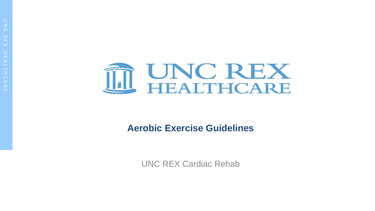

#### **Aerobic Exercise Guidelines**

UNC REX Cardiac Rehab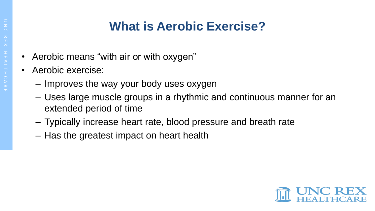## **What is Aerobic Exercise?**

- Aerobic means "with air or with oxygen"
- Aerobic exercise:
	- Improves the way your body uses oxygen
	- Uses large muscle groups in a rhythmic and continuous manner for an extended period of time
	- Typically increase heart rate, blood pressure and breath rate
	- Has the greatest impact on heart health

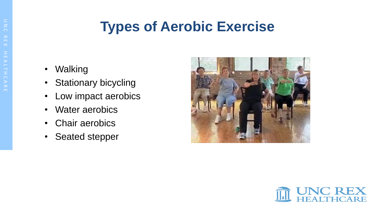# **Types of Aerobic Exercise**

- Walking
- **Stationary bicycling**
- Low impact aerobics
- Water aerobics
- Chair aerobics
- Seated stepper



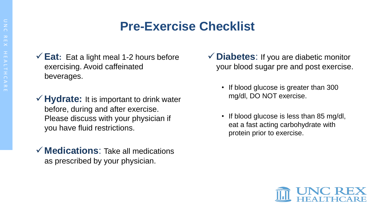### **Pre-Exercise Checklist**

- **Eat:** Eat a light meal 1-2 hours before exercising. Avoid caffeinated beverages.
- **Hydrate:** It is important to drink water before, during and after exercise. Please discuss with your physician if you have fluid restrictions.
- **Medications**: Take all medications as prescribed by your physician.
- **Diabetes**: If you are diabetic monitor your blood sugar pre and post exercise.
	- If blood glucose is greater than 300 mg/dl, DO NOT exercise.
	- If blood glucose is less than 85 mg/dl, eat a fast acting carbohydrate with protein prior to exercise.

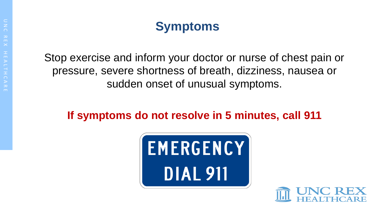

Stop exercise and inform your doctor or nurse of chest pain or pressure, severe shortness of breath, dizziness, nausea or sudden onset of unusual symptoms.

#### **If symptoms do not resolve in 5 minutes, call 911**



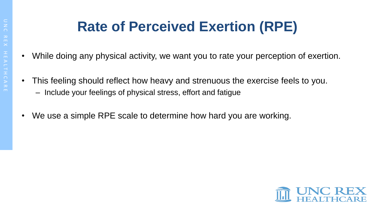# **Rate of Perceived Exertion (RPE)**

- While doing any physical activity, we want you to rate your perception of exertion.
- This feeling should reflect how heavy and strenuous the exercise feels to you.
	- Include your feelings of physical stress, effort and fatigue
- We use a simple RPE scale to determine how hard you are working.

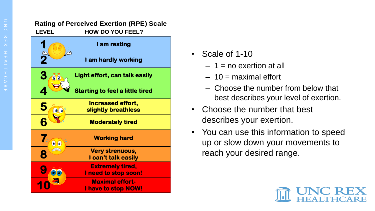#### **Rating of Perceived Exertion (RPE) Scale LEVEL HOW DO YOU FEEL?**

|                                       | I am resting                                    |
|---------------------------------------|-------------------------------------------------|
|                                       | -17<br>I am hardly working                      |
| 3<br>$\textcolor{blue}{\bullet}$<br>o | Light effort, can talk easily                   |
|                                       | <b>Starting to feel a little tired</b>          |
|                                       | <b>Increased effort,</b><br>slightly breathless |
|                                       | <b>Moderately tired</b>                         |
|                                       | <b>Working hard</b>                             |
| 8                                     | <b>Very strenuous,</b><br>I can't talk easily   |
|                                       | <b>Extremely tired,</b><br>I need to stop soon! |
|                                       | <b>Maximal effort-</b><br>I have to stop NOW!   |

- Scale of 1-10
	- $-1$  = no exertion at all
	- $-10$  = maximal effort
	- Choose the number from below that best describes your level of exertion.
- Choose the number that best describes your exertion.
- You can use this information to speed up or slow down your movements to reach your desired range.

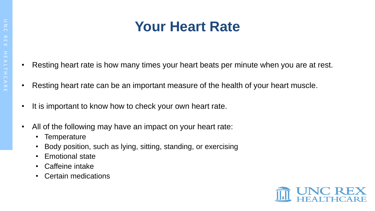# **Your Heart Rate**

- Resting heart rate is how many times your heart beats per minute when you are at rest.
- Resting heart rate can be an important measure of the health of your heart muscle.
- It is important to know how to check your own heart rate.
- All of the following may have an impact on your heart rate:
	- Temperature
	- Body position, such as lying, sitting, standing, or exercising
	- Emotional state
	- Caffeine intake
	- Certain medications

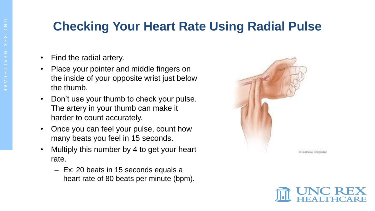### **Checking Your Heart Rate Using Radial Pulse**

- Find the radial artery.
- Place your pointer and middle fingers on the inside of your opposite wrist just below the thumb.
- Don't use your thumb to check your pulse. The artery in your thumb can make it harder to count accurately.
- Once you can feel your pulse, count how many beats you feel in 15 seconds.
- Multiply this number by 4 to get your heart rate.
	- Ex: 20 beats in 15 seconds equals a heart rate of 80 beats per minute (bpm).



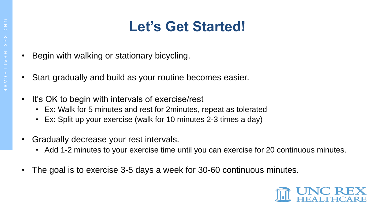# **Let's Get Started!**

- Begin with walking or stationary bicycling.
- Start gradually and build as your routine becomes easier.
- It's OK to begin with intervals of exercise/rest
	- Ex: Walk for 5 minutes and rest for 2minutes, repeat as tolerated
	- Ex: Split up your exercise (walk for 10 minutes 2-3 times a day)
- Gradually decrease your rest intervals.
	- Add 1-2 minutes to your exercise time until you can exercise for 20 continuous minutes.
- The goal is to exercise 3-5 days a week for 30-60 continuous minutes.

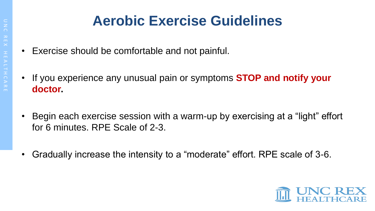# **Aerobic Exercise Guidelines**

- Exercise should be comfortable and not painful.
- If you experience any unusual pain or symptoms **STOP and notify your doctor.**
- Begin each exercise session with a warm-up by exercising at a "light" effort for 6 minutes. RPE Scale of 2-3.
- Gradually increase the intensity to a "moderate" effort. RPE scale of 3-6.

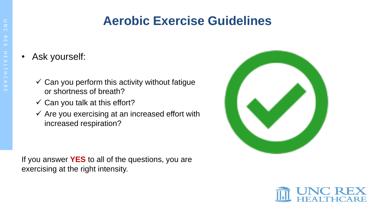#### **Aerobic Exercise Guidelines**

- Ask yourself:
	- $\checkmark$  Can you perform this activity without fatigue or shortness of breath?
	- $\checkmark$  Can you talk at this effort?
	- $\checkmark$  Are you exercising at an increased effort with increased respiration?

If you answer **YES** to all of the questions, you are exercising at the right intensity.